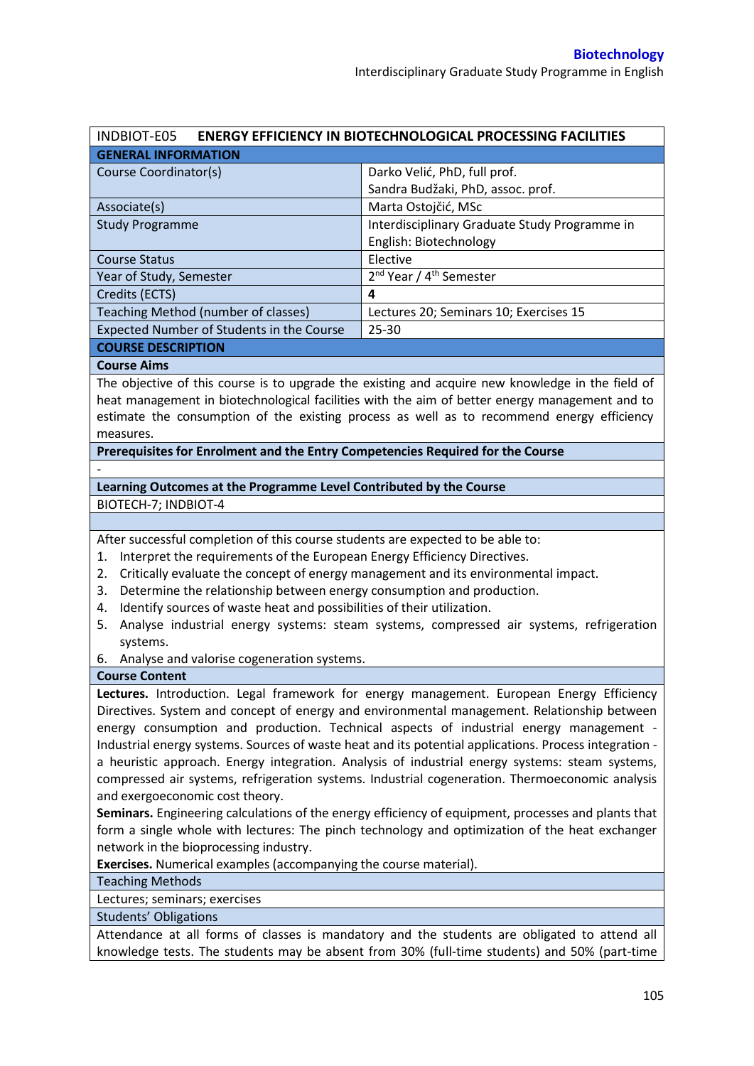| <b>ENERGY EFFICIENCY IN BIOTECHNOLOGICAL PROCESSING FACILITIES</b><br>INDBIOT-E05 |                                                 |  |  |  |  |
|-----------------------------------------------------------------------------------|-------------------------------------------------|--|--|--|--|
| <b>GENERAL INFORMATION</b>                                                        |                                                 |  |  |  |  |
| Course Coordinator(s)                                                             | Darko Velić, PhD, full prof.                    |  |  |  |  |
|                                                                                   | Sandra Budžaki, PhD, assoc. prof.               |  |  |  |  |
| Associate(s)                                                                      | Marta Ostojčić, MSc                             |  |  |  |  |
| <b>Study Programme</b>                                                            | Interdisciplinary Graduate Study Programme in   |  |  |  |  |
|                                                                                   | English: Biotechnology                          |  |  |  |  |
| <b>Course Status</b>                                                              | Elective                                        |  |  |  |  |
| Year of Study, Semester                                                           | 2 <sup>nd</sup> Year / 4 <sup>th</sup> Semester |  |  |  |  |
| Credits (ECTS)                                                                    | 4                                               |  |  |  |  |
| Teaching Method (number of classes)                                               | Lectures 20; Seminars 10; Exercises 15          |  |  |  |  |
| <b>Expected Number of Students in the Course</b>                                  | $25 - 30$                                       |  |  |  |  |
| ------------------                                                                |                                                 |  |  |  |  |

#### **COURSE DESCRIPTION**

#### **Course Aims**

-

The objective of this course is to upgrade the existing and acquire new knowledge in the field of heat management in biotechnological facilities with the aim of better energy management and to estimate the consumption of the existing process as well as to recommend energy efficiency measures.

**Prerequisites for Enrolment and the Entry Competencies Required for the Course** 

# **Learning Outcomes at the Programme Level Contributed by the Course**

BIOTECH-7; INDBIOT-4

After successful completion of this course students are expected to be able to:

- 1. Interpret the requirements of the European Energy Efficiency Directives.
- 2. Critically evaluate the concept of energy management and its environmental impact.
- 3. Determine the relationship between energy consumption and production.
- 4. Identify sources of waste heat and possibilities of their utilization.
- 5. Analyse industrial energy systems: steam systems, compressed air systems, refrigeration systems.
- 6. Analyse and valorise cogeneration systems.

### **Course Content**

**Lectures.** Introduction. Legal framework for energy management. European Energy Efficiency Directives. System and concept of energy and environmental management. Relationship between energy consumption and production. Technical aspects of industrial energy management - Industrial energy systems. Sources of waste heat and its potential applications. Process integration a heuristic approach. Energy integration. Analysis of industrial energy systems: steam systems, compressed air systems, refrigeration systems. Industrial cogeneration. Thermoeconomic analysis and exergoeconomic cost theory.

**Seminars.** Engineering calculations of the energy efficiency of equipment, processes and plants that form a single whole with lectures: The pinch technology and optimization of the heat exchanger network in the bioprocessing industry.

**Exercises.** Numerical examples (accompanying the course material).

## Teaching Methods

Lectures; seminars; exercises

Students' Obligations

Attendance at all forms of classes is mandatory and the students are obligated to attend all knowledge tests. The students may be absent from 30% (full-time students) and 50% (part-time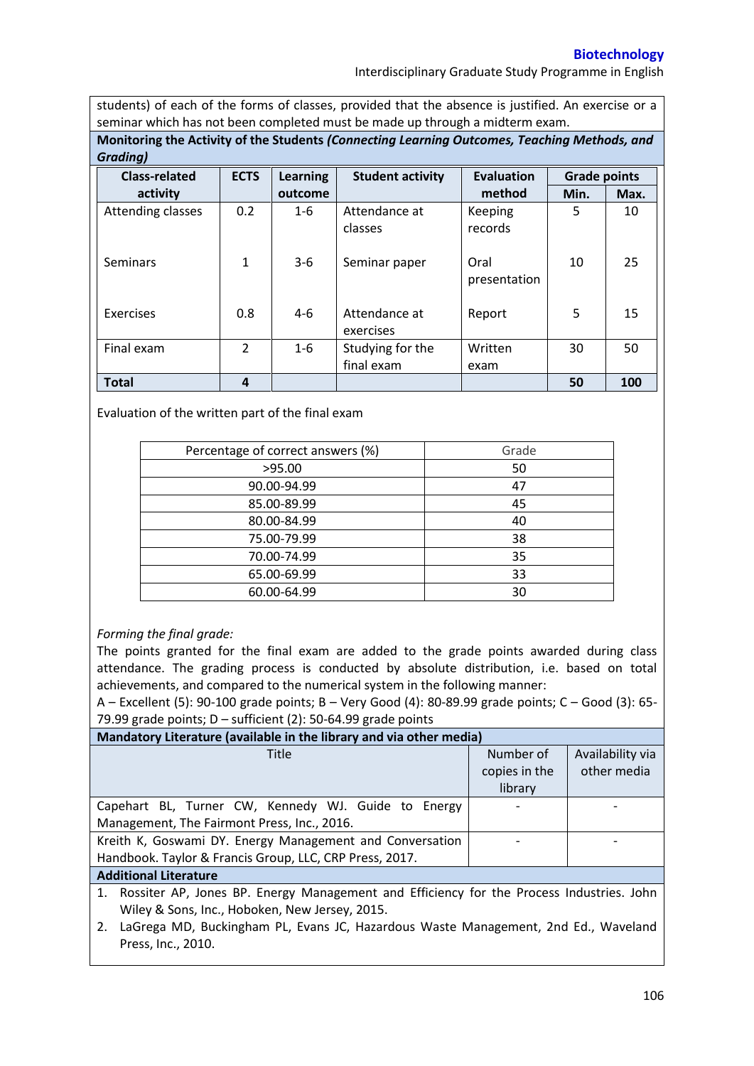## **Biotechnology**

Interdisciplinary Graduate Study Programme in English

students) of each of the forms of classes, provided that the absence is justified. An exercise or a seminar which has not been completed must be made up through a midterm exam.

**Monitoring the Activity of the Students** *(Connecting Learning Outcomes, Teaching Methods, and Grading)*

| <b>Class-related</b> | <b>ECTS</b>    | <b>Learning</b> | <b>Student activity</b>        | Evaluation           | <b>Grade points</b> |      |
|----------------------|----------------|-----------------|--------------------------------|----------------------|---------------------|------|
| activity             |                | outcome         |                                | method               | Min.                | Max. |
| Attending classes    | 0.2            | $1 - 6$         | Attendance at<br>classes       | Keeping<br>records   | 5                   | 10   |
| <b>Seminars</b>      | $\mathbf{1}$   | $3-6$           | Seminar paper                  | Oral<br>presentation | 10                  | 25   |
| Exercises            | 0.8            | 4-6             | Attendance at<br>exercises     | Report               | 5                   | 15   |
| Final exam           | $\overline{2}$ | $1-6$           | Studying for the<br>final exam | Written<br>exam      | 30                  | 50   |
| <b>Total</b>         | 4              |                 |                                |                      | 50                  | 100  |

Evaluation of the written part of the final exam

| Percentage of correct answers (%) | Grade |
|-----------------------------------|-------|
| >95.00                            | 50    |
| 90.00-94.99                       | 47    |
| 85.00-89.99                       | 45    |
| 80.00-84.99                       | 40    |
| 75.00-79.99                       | 38    |
| 70.00-74.99                       | 35    |
| 65.00-69.99                       | 33    |
| 60.00-64.99                       | 30    |

# *Forming the final grade:*

The points granted for the final exam are added to the grade points awarded during class attendance. The grading process is conducted by absolute distribution, i.e. based on total achievements, and compared to the numerical system in the following manner:

A – Excellent (5): 90-100 grade points; B – Very Good (4): 80-89.99 grade points; C – Good (3): 65- 79.99 grade points;  $D$  – sufficient (2): 50-64.99 grade points

| Mandatory Literature (available in the library and via other media)                                                                                                                                                            |               |                  |  |  |  |
|--------------------------------------------------------------------------------------------------------------------------------------------------------------------------------------------------------------------------------|---------------|------------------|--|--|--|
| Title                                                                                                                                                                                                                          | Number of     | Availability via |  |  |  |
|                                                                                                                                                                                                                                | copies in the | other media      |  |  |  |
|                                                                                                                                                                                                                                | library       |                  |  |  |  |
| Capehart BL, Turner CW, Kennedy WJ. Guide to Energy                                                                                                                                                                            |               |                  |  |  |  |
| Management, The Fairmont Press, Inc., 2016.                                                                                                                                                                                    |               |                  |  |  |  |
| Kreith K, Goswami DY. Energy Management and Conversation                                                                                                                                                                       |               |                  |  |  |  |
| Handbook. Taylor & Francis Group, LLC, CRP Press, 2017.                                                                                                                                                                        |               |                  |  |  |  |
| A district and the community of the second state of the second state of the second state of the second state of the second state of the second state of the second state of the second state of the second state of the second |               |                  |  |  |  |

### **Additional Literature**

1. Rossiter AP, Jones BP. Energy Management and Efficiency for the Process Industries. John Wiley & Sons, Inc., Hoboken, New Jersey, 2015.

2. LaGrega MD, Buckingham PL, Evans JC, Hazardous Waste Management, 2nd Ed., Waveland Press, Inc., 2010.